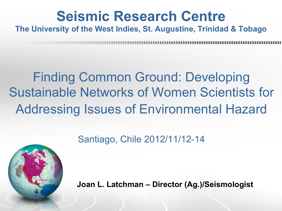## **Seismic Research Centre**

#### **The University of the West Indies, St. Augustine, Trinidad & Tobago**

## Finding Common Ground: Developing Sustainable Networks of Women Scientists for Addressing Issues of Environmental Hazard

#### Santiago, Chile 2012/11/12-14



**Joan L. Latchman – Director (Ag.)/Seismologist**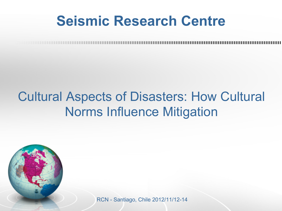### **Seismic Research Centre**

#### Cultural Aspects of Disasters: How Cultural Norms Influence Mitigation

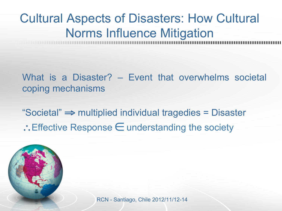#### Cultural Aspects of Disasters: How Cultural Norms Influence Mitigation

What is a Disaster? – Event that overwhelms societal coping mechanisms

"Societal" ⇒ multiplied individual tragedies = Disaster

∴Effective Response ∈ understanding the society

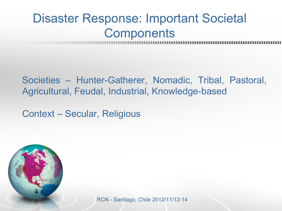#### Disaster Response: Important Societal **Components**

Societies – Hunter-Gatherer, Nomadic, Tribal, Pastoral, Agricultural, Feudal, Industrial, Knowledge-based

Context – Secular, Religious

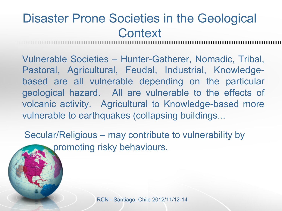#### Disaster Prone Societies in the Geological **Context**

Vulnerable Societies – Hunter-Gatherer, Nomadic, Tribal, Pastoral, Agricultural, Feudal, Industrial, Knowledgebased are all vulnerable depending on the particular geological hazard. All are vulnerable to the effects of volcanic activity. Agricultural to Knowledge-based more vulnerable to earthquakes (collapsing buildings...

Secular/Religious – may contribute to vulnerability by promoting risky behaviours.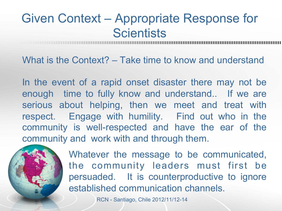#### Given Context – Appropriate Response for **Scientists**

What is the Context? – Take time to know and understand

In the event of a rapid onset disaster there may not be enough time to fully know and understand.. If we are serious about helping, then we meet and treat with respect. Engage with humility. Find out who in the community is well-respected and have the ear of the community and work with and through them.



Whatever the message to be communicated, the community leaders must first be persuaded. It is counterproductive to ignore established communication channels.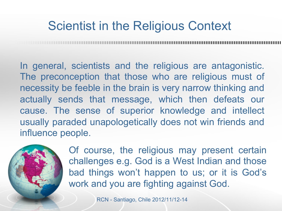#### Scientist in the Religious Context

In general, scientists and the religious are antagonistic. The preconception that those who are religious must of necessity be feeble in the brain is very narrow thinking and actually sends that message, which then defeats our cause. The sense of superior knowledge and intellect usually paraded unapologetically does not win friends and influence people.



Of course, the religious may present certain challenges e.g. God is a West Indian and those bad things won't happen to us; or it is God's work and you are fighting against God.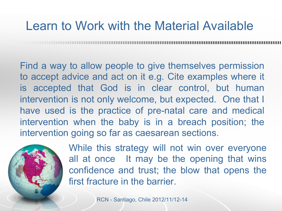#### Learn to Work with the Material Available

Find a way to allow people to give themselves permission to accept advice and act on it e.g. Cite examples where it is accepted that God is in clear control, but human intervention is not only welcome, but expected. One that I have used is the practice of pre-natal care and medical intervention when the baby is in a breach position; the intervention going so far as caesarean sections.



While this strategy will not win over everyone all at once It may be the opening that wins confidence and trust; the blow that opens the first fracture in the barrier.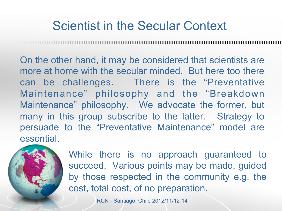#### Scientist in the Secular Context

On the other hand, it may be considered that scientists are more at home with the secular minded. But here too there can be challenges. There is the "Preventative Maintenance" philosophy and the "Breakdown Maintenance" philosophy. We advocate the former, but many in this group subscribe to the latter. Strategy to persuade to the "Preventative Maintenance" model are essential.



While there is no approach guaranteed to succeed, Various points may be made, guided by those respected in the community e.g. the cost, total cost, of no preparation.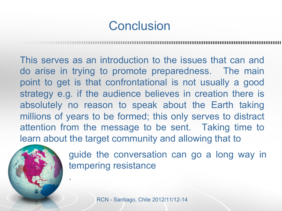#### **Conclusion**

This serves as an introduction to the issues that can and do arise in trying to promote preparedness. The main point to get is that confrontational is not usually a good strategy e.g. if the audience believes in creation there is absolutely no reason to speak about the Earth taking millions of years to be formed; this only serves to distract attention from the message to be sent. Taking time to learn about the target community and allowing that to



.

guide the conversation can go a long way in tempering resistance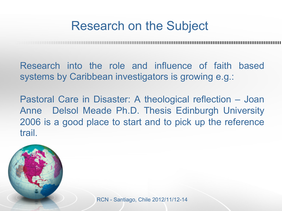#### Research on the Subject

Research into the role and influence of faith based systems by Caribbean investigators is growing e.g.:

Pastoral Care in Disaster: A theological reflection – Joan Anne Delsol Meade Ph.D. Thesis Edinburgh University 2006 is a good place to start and to pick up the reference trail.